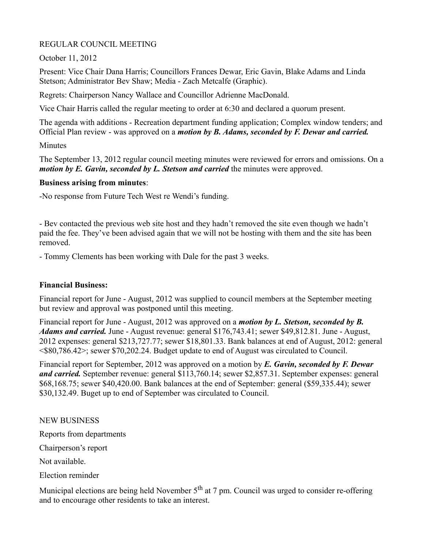### REGULAR COUNCIL MEETING

October 11, 2012

Present: Vice Chair Dana Harris; Councillors Frances Dewar, Eric Gavin, Blake Adams and Linda Stetson; Administrator Bev Shaw; Media - Zach Metcalfe (Graphic).

Regrets: Chairperson Nancy Wallace and Councillor Adrienne MacDonald.

Vice Chair Harris called the regular meeting to order at 6:30 and declared a quorum present.

The agenda with additions - Recreation department funding application; Complex window tenders; and Official Plan review - was approved on a *motion by B. Adams, seconded by F. Dewar and carried.*

Minutes

The September 13, 2012 regular council meeting minutes were reviewed for errors and omissions. On a *motion by E. Gavin, seconded by L. Stetson and carried* the minutes were approved.

### **Business arising from minutes**:

-No response from Future Tech West re Wendi's funding.

- Bev contacted the previous web site host and they hadn't removed the site even though we hadn't paid the fee. They've been advised again that we will not be hosting with them and the site has been removed.

- Tommy Clements has been working with Dale for the past 3 weeks.

### **Financial Business:**

Financial report for June - August, 2012 was supplied to council members at the September meeting but review and approval was postponed until this meeting.

Financial report for June - August, 2012 was approved on a *motion by L. Stetson, seconded by B. Adams and carried.* June - August revenue: general \$176,743.41; sewer \$49,812.81. June - August, 2012 expenses: general \$213,727.77; sewer \$18,801.33. Bank balances at end of August, 2012: general <\$80,786.42>; sewer \$70,202.24. Budget update to end of August was circulated to Council.

Financial report for September, 2012 was approved on a motion by *E. Gavin, seconded by F. Dewar and carried.* September revenue: general \$113,760.14; sewer \$2,857.31. September expenses: general \$68,168.75; sewer \$40,420.00. Bank balances at the end of September: general (\$59,335.44); sewer \$30,132.49. Buget up to end of September was circulated to Council.

NEW BUSINESS

Reports from departments

Chairperson's report

Not available.

Election reminder

Municipal elections are being held November 5<sup>th</sup> at 7 pm. Council was urged to consider re-offering and to encourage other residents to take an interest.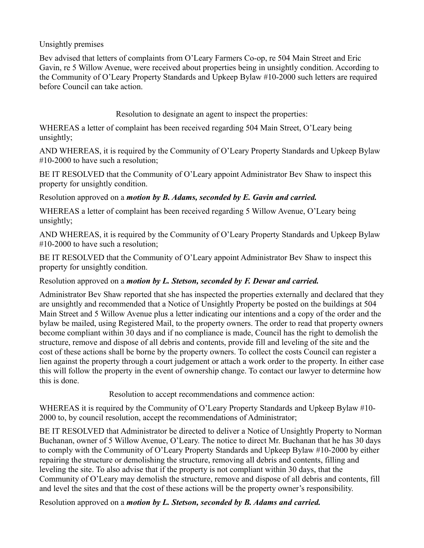Unsightly premises

Bev advised that letters of complaints from O'Leary Farmers Co-op, re 504 Main Street and Eric Gavin, re 5 Willow Avenue, were received about properties being in unsightly condition. According to the Community of O'Leary Property Standards and Upkeep Bylaw #10-2000 such letters are required before Council can take action.

Resolution to designate an agent to inspect the properties:

WHEREAS a letter of complaint has been received regarding 504 Main Street, O'Leary being unsightly;

AND WHEREAS, it is required by the Community of O'Leary Property Standards and Upkeep Bylaw #10-2000 to have such a resolution;

BE IT RESOLVED that the Community of O'Leary appoint Administrator Bev Shaw to inspect this property for unsightly condition.

Resolution approved on a *motion by B. Adams, seconded by E. Gavin and carried.*

WHEREAS a letter of complaint has been received regarding 5 Willow Avenue, O'Leary being unsightly;

AND WHEREAS, it is required by the Community of O'Leary Property Standards and Upkeep Bylaw #10-2000 to have such a resolution;

BE IT RESOLVED that the Community of O'Leary appoint Administrator Bev Shaw to inspect this property for unsightly condition.

Resolution approved on a *motion by L. Stetson, seconded by F. Dewar and carried.*

Administrator Bev Shaw reported that she has inspected the properties externally and declared that they are unsightly and recommended that a Notice of Unsightly Property be posted on the buildings at 504 Main Street and 5 Willow Avenue plus a letter indicating our intentions and a copy of the order and the bylaw be mailed, using Registered Mail, to the property owners. The order to read that property owners become compliant within 30 days and if no compliance is made, Council has the right to demolish the structure, remove and dispose of all debris and contents, provide fill and leveling of the site and the cost of these actions shall be borne by the property owners. To collect the costs Council can register a lien against the property through a court judgement or attach a work order to the property. In either case this will follow the property in the event of ownership change. To contact our lawyer to determine how this is done.

Resolution to accept recommendations and commence action:

WHEREAS it is required by the Community of O'Leary Property Standards and Upkeep Bylaw #10- 2000 to, by council resolution, accept the recommendations of Administrator;

BE IT RESOLVED that Administrator be directed to deliver a Notice of Unsightly Property to Norman Buchanan, owner of 5 Willow Avenue, O'Leary. The notice to direct Mr. Buchanan that he has 30 days to comply with the Community of O'Leary Property Standards and Upkeep Bylaw #10-2000 by either repairing the structure or demolishing the structure, removing all debris and contents, filling and leveling the site. To also advise that if the property is not compliant within 30 days, that the Community of O'Leary may demolish the structure, remove and dispose of all debris and contents, fill and level the sites and that the cost of these actions will be the property owner's responsibility.

Resolution approved on a *motion by L. Stetson, seconded by B. Adams and carried.*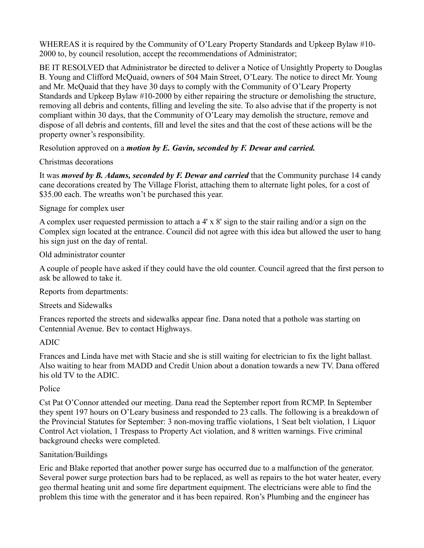WHEREAS it is required by the Community of O'Leary Property Standards and Upkeep Bylaw #10- 2000 to, by council resolution, accept the recommendations of Administrator;

BE IT RESOLVED that Administrator be directed to deliver a Notice of Unsightly Property to Douglas B. Young and Clifford McQuaid, owners of 504 Main Street, O'Leary. The notice to direct Mr. Young and Mr. McQuaid that they have 30 days to comply with the Community of O'Leary Property Standards and Upkeep Bylaw #10-2000 by either repairing the structure or demolishing the structure, removing all debris and contents, filling and leveling the site. To also advise that if the property is not compliant within 30 days, that the Community of O'Leary may demolish the structure, remove and dispose of all debris and contents, fill and level the sites and that the cost of these actions will be the property owner's responsibility.

Resolution approved on a *motion by E. Gavin, seconded by F. Dewar and carried.*

Christmas decorations

It was *moved by B. Adams, seconded by F. Dewar and carried* that the Community purchase 14 candy cane decorations created by The Village Florist, attaching them to alternate light poles, for a cost of \$35.00 each. The wreaths won't be purchased this year.

### Signage for complex user

A complex user requested permission to attach a 4' x 8' sign to the stair railing and/or a sign on the Complex sign located at the entrance. Council did not agree with this idea but allowed the user to hang his sign just on the day of rental.

Old administrator counter

A couple of people have asked if they could have the old counter. Council agreed that the first person to ask be allowed to take it.

Reports from departments:

Streets and Sidewalks

Frances reported the streets and sidewalks appear fine. Dana noted that a pothole was starting on Centennial Avenue. Bev to contact Highways.

# ADIC

Frances and Linda have met with Stacie and she is still waiting for electrician to fix the light ballast. Also waiting to hear from MADD and Credit Union about a donation towards a new TV. Dana offered his old TV to the ADIC.

# Police

Cst Pat O'Connor attended our meeting. Dana read the September report from RCMP. In September they spent 197 hours on O'Leary business and responded to 23 calls. The following is a breakdown of the Provincial Statutes for September: 3 non-moving traffic violations, 1 Seat belt violation, 1 Liquor Control Act violation, 1 Trespass to Property Act violation, and 8 written warnings. Five criminal background checks were completed.

# Sanitation/Buildings

Eric and Blake reported that another power surge has occurred due to a malfunction of the generator. Several power surge protection bars had to be replaced, as well as repairs to the hot water heater, every geo thermal heating unit and some fire department equipment. The electricians were able to find the problem this time with the generator and it has been repaired. Ron's Plumbing and the engineer has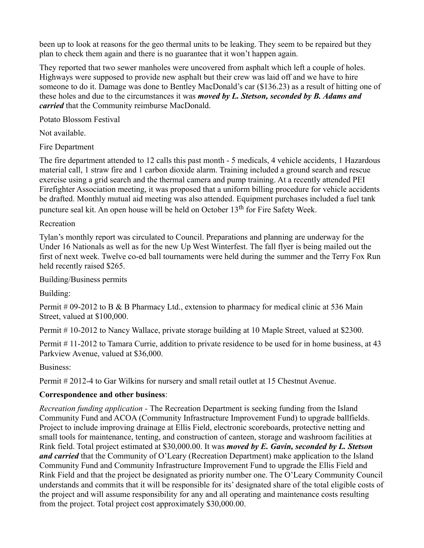been up to look at reasons for the geo thermal units to be leaking. They seem to be repaired but they plan to check them again and there is no guarantee that it won't happen again.

They reported that two sewer manholes were uncovered from asphalt which left a couple of holes. Highways were supposed to provide new asphalt but their crew was laid off and we have to hire someone to do it. Damage was done to Bentley MacDonald's car (\$136.23) as a result of hitting one of these holes and due to the circumstances it was *moved by L. Stetson, seconded by B. Adams and carried* that the Community reimburse MacDonald.

Potato Blossom Festival

Not available.

Fire Department

The fire department attended to 12 calls this past month - 5 medicals, 4 vehicle accidents, 1 Hazardous material call, 1 straw fire and 1 carbon dioxide alarm. Training included a ground search and rescue exercise using a grid search and the thermal camera and pump training. At a recently attended PEI Firefighter Association meeting, it was proposed that a uniform billing procedure for vehicle accidents be drafted. Monthly mutual aid meeting was also attended. Equipment purchases included a fuel tank puncture seal kit. An open house will be held on October 13<sup>th</sup> for Fire Safety Week.

### Recreation

Tylan's monthly report was circulated to Council. Preparations and planning are underway for the Under 16 Nationals as well as for the new Up West Winterfest. The fall flyer is being mailed out the first of next week. Twelve co-ed ball tournaments were held during the summer and the Terry Fox Run held recently raised \$265.

### Building/Business permits

Building:

Permit # 09-2012 to B & B Pharmacy Ltd., extension to pharmacy for medical clinic at 536 Main Street, valued at \$100,000.

Permit # 10-2012 to Nancy Wallace, private storage building at 10 Maple Street, valued at \$2300.

Permit # 11-2012 to Tamara Currie, addition to private residence to be used for in home business, at 43 Parkview Avenue, valued at \$36,000.

Business:

Permit # 2012-4 to Gar Wilkins for nursery and small retail outlet at 15 Chestnut Avenue.

### **Correspondence and other business**:

*Recreation funding application -* The Recreation Department is seeking funding from the Island Community Fund and ACOA (Community Infrastructure Improvement Fund) to upgrade ballfields. Project to include improving drainage at Ellis Field, electronic scoreboards, protective netting and small tools for maintenance, tenting, and construction of canteen, storage and washroom facilities at Rink field. Total project estimated at \$30,000.00. It was *moved by E. Gavin, seconded by L. Stetson and carried* that the Community of O'Leary (Recreation Department) make application to the Island Community Fund and Community Infrastructure Improvement Fund to upgrade the Ellis Field and Rink Field and that the project be designated as priority number one. The O'Leary Community Council understands and commits that it will be responsible for its' designated share of the total eligible costs of the project and will assume responsibility for any and all operating and maintenance costs resulting from the project. Total project cost approximately \$30,000.00.